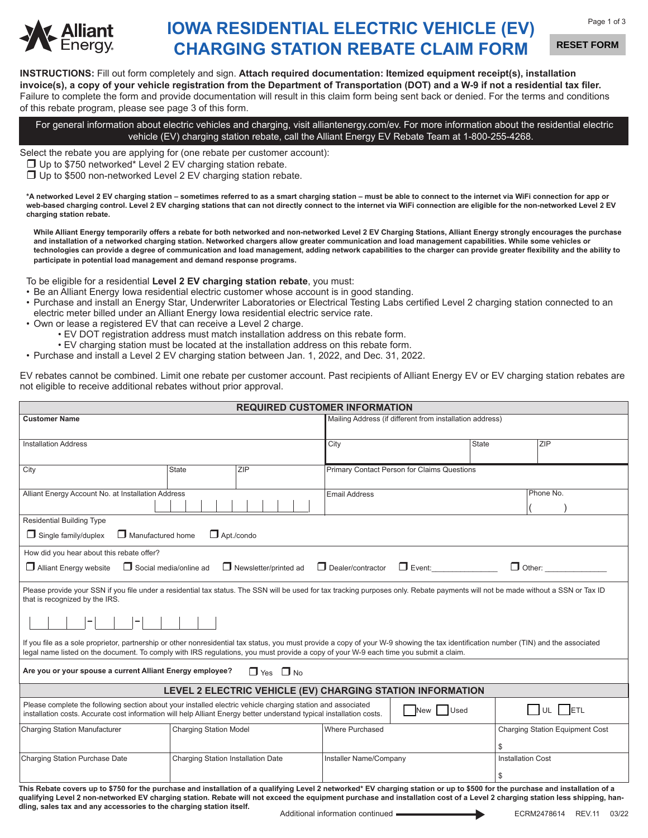

## **IOWA RESIDENTIAL ELECTRIC VEHICLE (EV) CHARGING STATION REBATE CLAIM FORM**

**RESET FORM**

**INSTRUCTIONS:** Fill out form completely and sign. **Attach required documentation: Itemized equipment receipt(s), installation invoice(s), a copy of your vehicle registration from the Department of Transportation (DOT) and a W-9 if not a residential tax filer.** Failure to complete the form and provide documentation will result in this claim form being sent back or denied. For the terms and conditions of this rebate program, please see page 3 of this form.

For general information about electric vehicles and charging, visit alliantenergy.com/ev. For more information about the residential electric vehicle (EV) charging station rebate, call the Alliant Energy EV Rebate Team at 1-800-255-4268.

Select the rebate you are applying for (one rebate per customer account):

 $\Box$  Up to \$750 networked\* Level 2 EV charging station rebate.

 $\Box$  Up to \$500 non-networked Level 2 EV charging station rebate.

**\*A networked Level 2 EV charging station – sometimes referred to as a smart charging station – must be able to connect to the internet via WiFi connection for app or web-based charging control. Level 2 EV charging stations that can not directly connect to the internet via WiFi connection are eligible for the non-networked Level 2 EV charging station rebate.**

While Alliant Energy temporarily offers a rebate for both networked and non-networked Level 2 EV Charging Stations, Alliant Energy strongly encourages the purchase **and installation of a networked charging station. Networked chargers allow greater communication and load management capabilities. While some vehicles or technologies can provide a degree of communication and load management, adding network capabilities to the charger can provide greater flexibility and the ability to participate in potential load management and demand response programs.**

To be eligible for a residential **Level 2 EV charging station rebate**, you must:

- Be an Alliant Energy Iowa residential electric customer whose account is in good standing.
- Purchase and install an Energy Star, Underwriter Laboratories or Electrical Testing Labs certified Level 2 charging station connected to an electric meter billed under an Alliant Energy Iowa residential electric service rate.
- Own or lease a registered EV that can receive a Level 2 charge.
	- EV DOT registration address must match installation address on this rebate form.
	- EV charging station must be located at the installation address on this rebate form.
- Purchase and install a Level 2 EV charging station between Jan. 1, 2022, and Dec. 31, 2022.

EV rebates cannot be combined. Limit one rebate per customer account. Past recipients of Alliant Energy EV or EV charging station rebates are not eligible to receive additional rebates without prior approval.

| <b>REQUIRED CUSTOMER INFORMATION</b>                                                                                                                                                                                                                                                                                         |                                                                                                                                                                                                                                                                                                                                                              |                                                          |                                             |                          |                                        |
|------------------------------------------------------------------------------------------------------------------------------------------------------------------------------------------------------------------------------------------------------------------------------------------------------------------------------|--------------------------------------------------------------------------------------------------------------------------------------------------------------------------------------------------------------------------------------------------------------------------------------------------------------------------------------------------------------|----------------------------------------------------------|---------------------------------------------|--------------------------|----------------------------------------|
| <b>Customer Name</b>                                                                                                                                                                                                                                                                                                         |                                                                                                                                                                                                                                                                                                                                                              | Mailing Address (if different from installation address) |                                             |                          |                                        |
|                                                                                                                                                                                                                                                                                                                              |                                                                                                                                                                                                                                                                                                                                                              |                                                          |                                             |                          |                                        |
| <b>Installation Address</b>                                                                                                                                                                                                                                                                                                  |                                                                                                                                                                                                                                                                                                                                                              | City                                                     |                                             | <b>State</b>             | ZIP                                    |
|                                                                                                                                                                                                                                                                                                                              |                                                                                                                                                                                                                                                                                                                                                              |                                                          |                                             |                          |                                        |
| City                                                                                                                                                                                                                                                                                                                         | <b>State</b><br><b>ZIP</b>                                                                                                                                                                                                                                                                                                                                   |                                                          | Primary Contact Person for Claims Questions |                          |                                        |
|                                                                                                                                                                                                                                                                                                                              |                                                                                                                                                                                                                                                                                                                                                              |                                                          |                                             |                          |                                        |
| Alliant Energy Account No. at Installation Address                                                                                                                                                                                                                                                                           |                                                                                                                                                                                                                                                                                                                                                              | <b>Email Address</b>                                     |                                             |                          | Phone No.                              |
|                                                                                                                                                                                                                                                                                                                              |                                                                                                                                                                                                                                                                                                                                                              |                                                          |                                             |                          |                                        |
| <b>Residential Building Type</b>                                                                                                                                                                                                                                                                                             |                                                                                                                                                                                                                                                                                                                                                              |                                                          |                                             |                          |                                        |
| $\Box$ Manufactured home<br>$\Box$ Single family/duplex                                                                                                                                                                                                                                                                      | $\Box$ Apt./condo                                                                                                                                                                                                                                                                                                                                            |                                                          |                                             |                          |                                        |
| How did you hear about this rebate offer?                                                                                                                                                                                                                                                                                    |                                                                                                                                                                                                                                                                                                                                                              |                                                          |                                             |                          |                                        |
| Social media/online ad<br>$\Box$ Dealer/contractor<br>$\Box$ Other:<br>$\Box$ Newsletter/printed ad<br>$\Box$ Event:<br>$\Box$ Alliant Energy website                                                                                                                                                                        |                                                                                                                                                                                                                                                                                                                                                              |                                                          |                                             |                          |                                        |
| that is recognized by the IRS.                                                                                                                                                                                                                                                                                               | Please provide your SSN if you file under a residential tax status. The SSN will be used for tax tracking purposes only. Rebate payments will not be made without a SSN or Tax ID                                                                                                                                                                            |                                                          |                                             |                          |                                        |
|                                                                                                                                                                                                                                                                                                                              |                                                                                                                                                                                                                                                                                                                                                              |                                                          |                                             |                          |                                        |
| If you file as a sole proprietor, partnership or other nonresidential tax status, you must provide a copy of your W-9 showing the tax identification number (TIN) and the associated<br>legal name listed on the document. To comply with IRS regulations, you must provide a copy of your W-9 each time you submit a claim. |                                                                                                                                                                                                                                                                                                                                                              |                                                          |                                             |                          |                                        |
| Are you or your spouse a current Alliant Energy employee?<br>$\Box$ Yes $\Box$ No                                                                                                                                                                                                                                            |                                                                                                                                                                                                                                                                                                                                                              |                                                          |                                             |                          |                                        |
| LEVEL 2 ELECTRIC VEHICLE (EV) CHARGING STATION INFORMATION                                                                                                                                                                                                                                                                   |                                                                                                                                                                                                                                                                                                                                                              |                                                          |                                             |                          |                                        |
| Please complete the following section about your installed electric vehicle charging station and associated<br>$\bigsqcup$ UL $\bigsqcup$ ETL<br>Used<br>New<br>installation costs. Accurate cost information will help Alliant Energy better understand typical installation costs.                                         |                                                                                                                                                                                                                                                                                                                                                              |                                                          |                                             |                          |                                        |
| <b>Charging Station Manufacturer</b>                                                                                                                                                                                                                                                                                         | <b>Charging Station Model</b>                                                                                                                                                                                                                                                                                                                                | Where Purchased                                          |                                             |                          | <b>Charging Station Equipment Cost</b> |
|                                                                                                                                                                                                                                                                                                                              |                                                                                                                                                                                                                                                                                                                                                              |                                                          |                                             | \$                       |                                        |
| Charging Station Purchase Date                                                                                                                                                                                                                                                                                               | Charging Station Installation Date                                                                                                                                                                                                                                                                                                                           | Installer Name/Company                                   |                                             | <b>Installation Cost</b> |                                        |
|                                                                                                                                                                                                                                                                                                                              |                                                                                                                                                                                                                                                                                                                                                              |                                                          |                                             |                          |                                        |
|                                                                                                                                                                                                                                                                                                                              |                                                                                                                                                                                                                                                                                                                                                              |                                                          |                                             | \$                       |                                        |
| dling, sales tax and any accessories to the charging station itself.                                                                                                                                                                                                                                                         | This Rebate covers up to \$750 for the purchase and installation of a qualifying Level 2 networked* EV charging station or up to \$500 for the purchase and installation of a<br>qualifying Level 2 non-networked EV charging station. Rebate will not exceed the equipment purchase and installation cost of a Level 2 charging station less shipping, han- |                                                          |                                             |                          |                                        |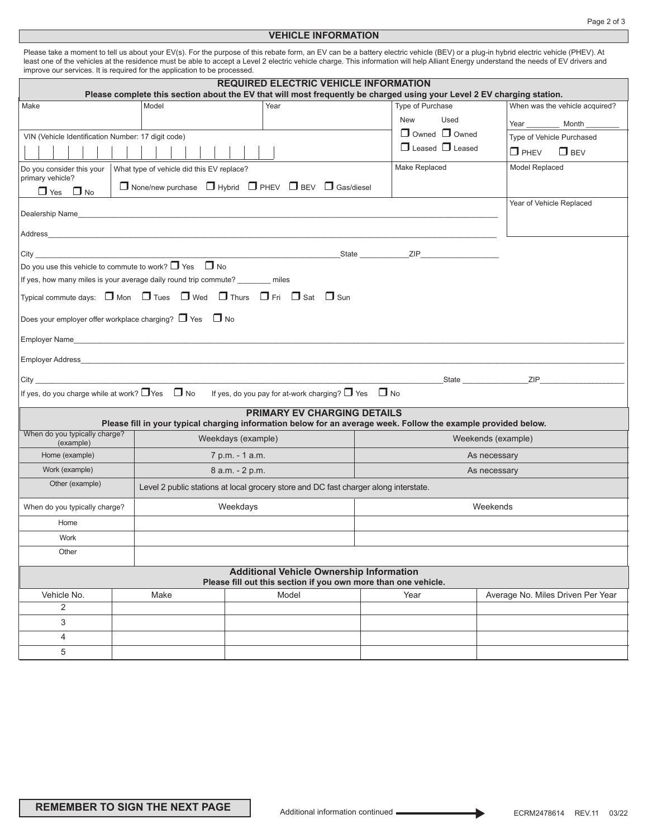## **VEHICLE INFORMATION**

|      | improve our services. It is required for the application to be processed. |                                              | Please take a moment to tell us about your EV(s). For the purpose of this rebate form, an EV can be a battery electric vehicle (BEV) or a plug-in hybrid electric vehicle (PHEV). At<br>least one of the vehicles at the residence must be able to accept a Level 2 electric vehicle charge. This information will help Alliant Energy understand the needs of EV drivers and |                                |
|------|---------------------------------------------------------------------------|----------------------------------------------|-------------------------------------------------------------------------------------------------------------------------------------------------------------------------------------------------------------------------------------------------------------------------------------------------------------------------------------------------------------------------------|--------------------------------|
|      |                                                                           | <b>REQUIRED ELECTRIC VEHICLE INFORMATION</b> | Please complete this section about the EV that will most frequently be charged using your Level 2 EV charging station.                                                                                                                                                                                                                                                        |                                |
| Make | Model                                                                     | Year                                         | Type of Purchase                                                                                                                                                                                                                                                                                                                                                              | When was the vehicle acquired? |
|      |                                                                           |                                              | Used<br><b>New</b>                                                                                                                                                                                                                                                                                                                                                            | Year<br>Month                  |
|      |                                                                           |                                              | $\Box$ Owned $\Box$ Owned                                                                                                                                                                                                                                                                                                                                                     |                                |

Please take a moment to tell us about your EV(s). For the purpose of this rebate form, an EV can be a battery electric vehicle (BEV) or a plug-in hybrid electric vehicle (PHEV). At

|                                                    |                                                                                      |                                                                                                                         | Please complete this section about the EV that will most frequently be charged using your Level 2 EV charging station. |                                   |  |  |
|----------------------------------------------------|--------------------------------------------------------------------------------------|-------------------------------------------------------------------------------------------------------------------------|------------------------------------------------------------------------------------------------------------------------|-----------------------------------|--|--|
| Make                                               | Model                                                                                | Year                                                                                                                    | <b>Type of Purchase</b>                                                                                                | When was the vehicle acquired?    |  |  |
|                                                    |                                                                                      |                                                                                                                         | <b>New</b><br>Used                                                                                                     | Year<br>Month                     |  |  |
| VIN (Vehicle Identification Number: 17 digit code) |                                                                                      |                                                                                                                         | $\Box$ Owned $\Box$ Owned                                                                                              | Type of Vehicle Purchased         |  |  |
|                                                    |                                                                                      |                                                                                                                         | $\Box$ Leased $\Box$ Leased                                                                                            | $\Box$ PHFV<br>$\Box$ BEV         |  |  |
| Do you consider this your<br>primary vehicle?      | What type of vehicle did this EV replace?                                            | $\Box$ None/new purchase $\Box$ Hybrid $\Box$ PHEV $\Box$ BEV $\Box$ Gas/diesel                                         | Make Replaced                                                                                                          | Model Replaced                    |  |  |
| $\Box$ Yes $\Box$ No                               |                                                                                      |                                                                                                                         |                                                                                                                        |                                   |  |  |
|                                                    |                                                                                      |                                                                                                                         |                                                                                                                        | Year of Vehicle Replaced          |  |  |
|                                                    |                                                                                      |                                                                                                                         |                                                                                                                        |                                   |  |  |
|                                                    |                                                                                      |                                                                                                                         |                                                                                                                        |                                   |  |  |
|                                                    | Do you use this vehicle to commute to work? $\Box$ Yes $\Box$ No                     |                                                                                                                         |                                                                                                                        |                                   |  |  |
|                                                    | If yes, how many miles is your average daily round trip commute? ________ miles      |                                                                                                                         |                                                                                                                        |                                   |  |  |
|                                                    |                                                                                      | Typical commute days: $\Box$ Mon $\Box$ Tues $\Box$ Wed $\Box$ Thurs $\Box$ Fri $\Box$ Sat $\Box$ Sun                   |                                                                                                                        |                                   |  |  |
|                                                    | Does your employer offer workplace charging? $\Box$ Yes $\Box$ No                    |                                                                                                                         |                                                                                                                        |                                   |  |  |
|                                                    |                                                                                      |                                                                                                                         |                                                                                                                        |                                   |  |  |
|                                                    |                                                                                      |                                                                                                                         |                                                                                                                        |                                   |  |  |
|                                                    |                                                                                      |                                                                                                                         | <b>State</b> State <b>State</b>                                                                                        | ZIP <b>Example 2008</b>           |  |  |
|                                                    |                                                                                      | If yes, do you charge while at work? $\Box$ Yes $\Box$ No If yes, do you pay for at-work charging? $\Box$ Yes $\Box$ No |                                                                                                                        |                                   |  |  |
|                                                    |                                                                                      | <b>PRIMARY EV CHARGING DETAILS</b>                                                                                      | Please fill in your typical charging information below for an average week. Follow the example provided below.         |                                   |  |  |
| When do you typically charge?<br>(example)         |                                                                                      | Weekdays (example)                                                                                                      |                                                                                                                        | Weekends (example)                |  |  |
| Home (example)                                     |                                                                                      | 7 p.m. - 1 a.m.                                                                                                         | As necessary                                                                                                           |                                   |  |  |
| Work (example)                                     | 8 a.m. - 2 p.m.                                                                      |                                                                                                                         | As necessary                                                                                                           |                                   |  |  |
| Other (example)                                    | Level 2 public stations at local grocery store and DC fast charger along interstate. |                                                                                                                         |                                                                                                                        |                                   |  |  |
| When do you typically charge?<br>Weekdays          |                                                                                      |                                                                                                                         | Weekends                                                                                                               |                                   |  |  |
| Home                                               |                                                                                      |                                                                                                                         |                                                                                                                        |                                   |  |  |
| <b>Work</b>                                        |                                                                                      |                                                                                                                         |                                                                                                                        |                                   |  |  |
| Other                                              |                                                                                      |                                                                                                                         |                                                                                                                        |                                   |  |  |
|                                                    |                                                                                      | <b>Additional Vehicle Ownership Information</b><br>Please fill out this section if you own more than one vehicle.       |                                                                                                                        |                                   |  |  |
| Vehicle No.                                        | Make                                                                                 | Model                                                                                                                   | Year                                                                                                                   | Average No. Miles Driven Per Year |  |  |
| 2                                                  |                                                                                      |                                                                                                                         |                                                                                                                        |                                   |  |  |
| 3                                                  |                                                                                      |                                                                                                                         |                                                                                                                        |                                   |  |  |
| 4                                                  |                                                                                      |                                                                                                                         |                                                                                                                        |                                   |  |  |
| 5                                                  |                                                                                      |                                                                                                                         |                                                                                                                        |                                   |  |  |
|                                                    |                                                                                      |                                                                                                                         |                                                                                                                        |                                   |  |  |